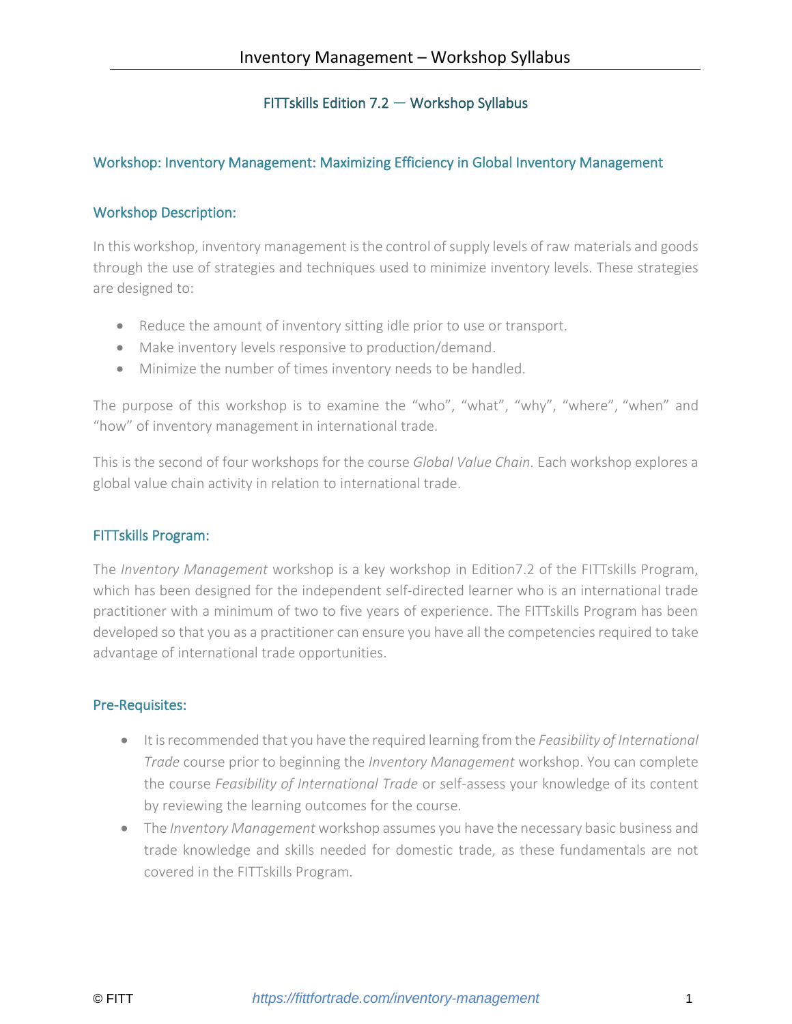# FITTskills Edition 7.2 — Workshop Syllabus

# Workshop: Inventory Management: Maximizing Efficiency in Global Inventory Management

## Workshop Description:

In this workshop, inventory management is the control of supply levels of raw materials and goods through the use of strategies and techniques used to minimize inventory levels. These strategies are designed to:

- Reduce the amount of inventory sitting idle prior to use or transport.
- Make inventory levels responsive to production/demand.
- Minimize the number of times inventory needs to be handled.

The purpose of this workshop is to examine the "who", "what", "why", "where", "when" and "how" of inventory management in international trade.

This is the second of four workshops for the course *Global Value Chain*. Each workshop explores a global value chain activity in relation to international trade.

## FITTskills Program:

The *Inventory Management* workshop is a key workshop in Edition7.2 of the FITTskills Program, which has been designed for the independent self-directed learner who is an international trade practitioner with a minimum of two to five years of experience. The FITTskills Program has been developed so that you as a practitioner can ensure you have all the competencies required to take advantage of international trade opportunities.

## Pre-Requisites:

- It is recommended that you have the required learning from the *Feasibility of International Trade* course prior to beginning the *Inventory Management* workshop. You can complete the course *Feasibility of International Trade* or self-assess your knowledge of its content by reviewing the learning outcomes for the course.
- The *Inventory Management* workshop assumes you have the necessary basic business and trade knowledge and skills needed for domestic trade, as these fundamentals are not covered in the FITTskills Program.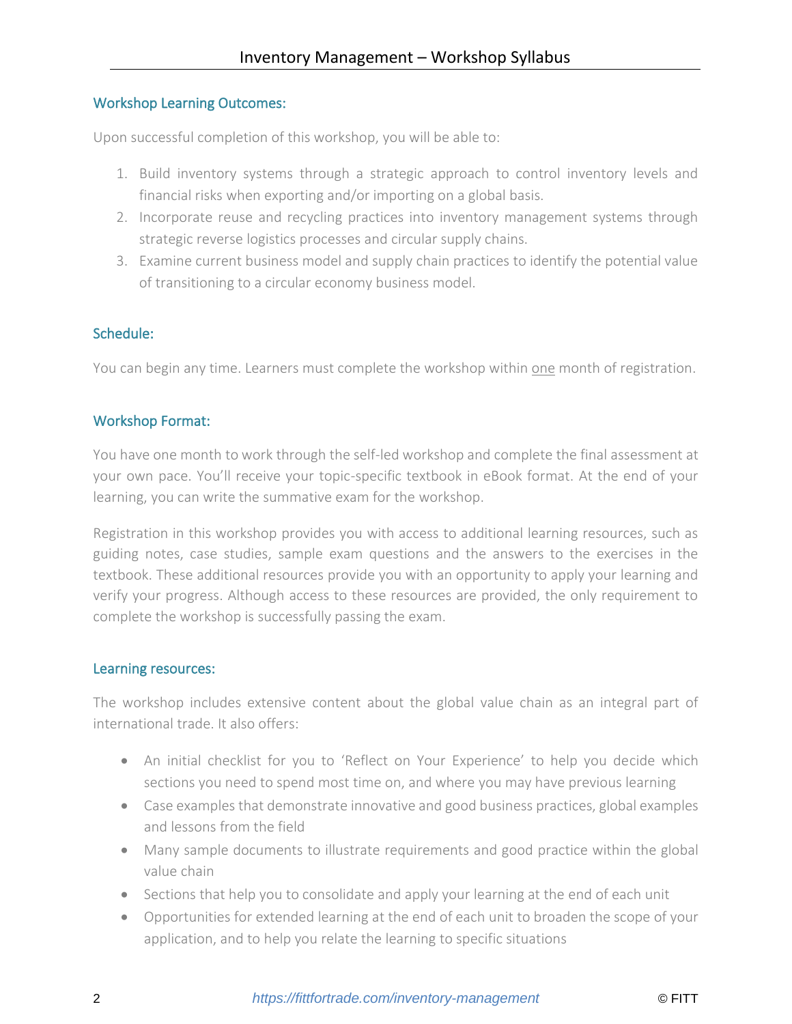## Workshop Learning Outcomes:

Upon successful completion of this workshop, you will be able to:

- 1. Build inventory systems through a strategic approach to control inventory levels and financial risks when exporting and/or importing on a global basis.
- 2. Incorporate reuse and recycling practices into inventory management systems through strategic reverse logistics processes and circular supply chains.
- 3. Examine current business model and supply chain practices to identify the potential value of transitioning to a circular economy business model.

## Schedule:

You can begin any time. Learners must complete the workshop within one month of registration.

## Workshop Format:

You have one month to work through the self-led workshop and complete the final assessment at your own pace. You'll receive your topic-specific textbook in eBook format. At the end of your learning, you can write the summative exam for the workshop.

Registration in this workshop provides you with access to additional learning resources, such as guiding notes, case studies, sample exam questions and the answers to the exercises in the textbook. These additional resources provide you with an opportunity to apply your learning and verify your progress. Although access to these resources are provided, the only requirement to complete the workshop is successfully passing the exam.

#### Learning resources:

The workshop includes extensive content about the global value chain as an integral part of international trade. It also offers:

- An initial checklist for you to 'Reflect on Your Experience' to help you decide which sections you need to spend most time on, and where you may have previous learning
- Case examples that demonstrate innovative and good business practices, global examples and lessons from the field
- Many sample documents to illustrate requirements and good practice within the global value chain
- Sections that help you to consolidate and apply your learning at the end of each unit
- Opportunities for extended learning at the end of each unit to broaden the scope of your application, and to help you relate the learning to specific situations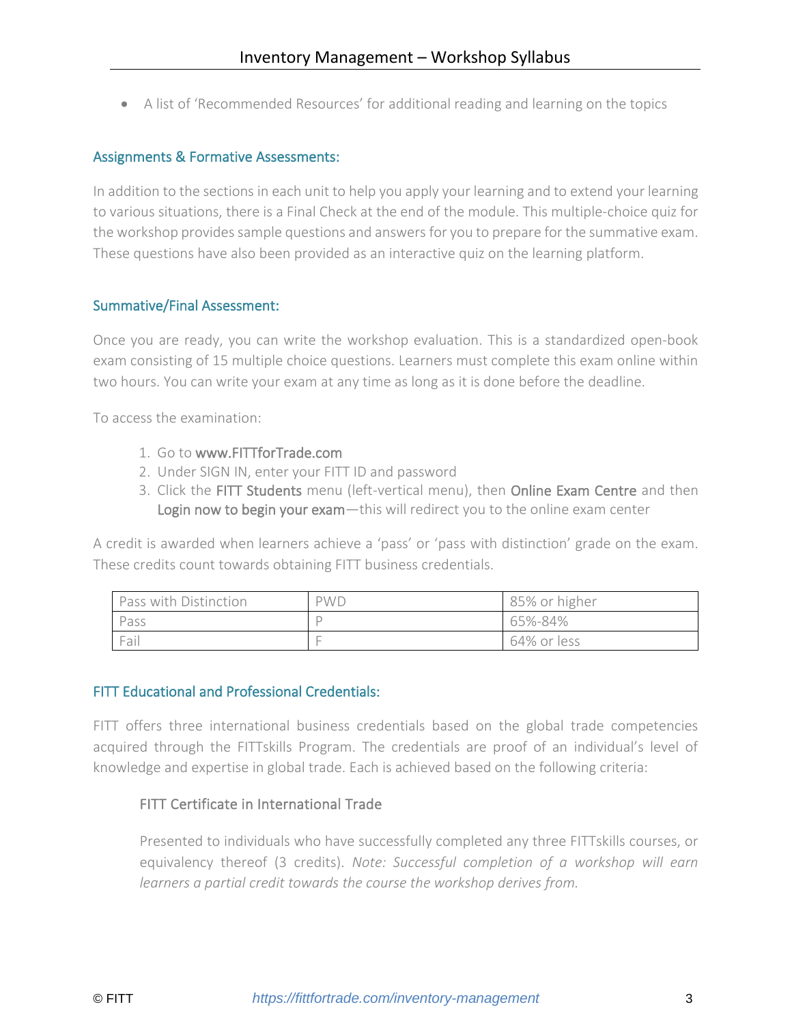• A list of 'Recommended Resources' for additional reading and learning on the topics

#### Assignments & Formative Assessments:

In addition to the sections in each unit to help you apply your learning and to extend your learning to various situations, there is a Final Check at the end of the module. This multiple-choice quiz for the workshop provides sample questions and answers for you to prepare for the summative exam. These questions have also been provided as an interactive quiz on the learning platform.

#### Summative/Final Assessment:

Once you are ready, you can write the workshop evaluation. This is a standardized open-book exam consisting of 15 multiple choice questions. Learners must complete this exam online within two hours. You can write your exam at any time as long as it is done before the deadline.

To access the examination:

- 1. Go to [www.FITTforTrade.com](http://www.fittfortrade.com/)
- 2. Under SIGN IN, enter your FITT ID and password
- 3. Click the FITT Students menu (left-vertical menu), then Online Exam Centre and then Login now to begin your exam-this will redirect you to the online exam center

A credit is awarded when learners achieve a 'pass' or 'pass with distinction' grade on the exam. These credits count towards obtaining FITT business credentials.

| Pass with Distinction | <b>PWD</b> | 85% or higher |
|-----------------------|------------|---------------|
| Pass                  |            | 65%-84%       |
| Fail                  |            | 64% or less   |

#### FITT Educational and Professional Credentials:

FITT offers three international business credentials based on the global trade competencies acquired through the FITTskills Program. The credentials are proof of an individual's level of knowledge and expertise in global trade. Each is achieved based on the following criteria:

## FITT Certificate in International Trade

Presented to individuals who have successfully completed any three FITTskills courses, or equivalency thereof (3 credits). *Note: Successful completion of a workshop will earn learners a partial credit towards the course the workshop derives from.*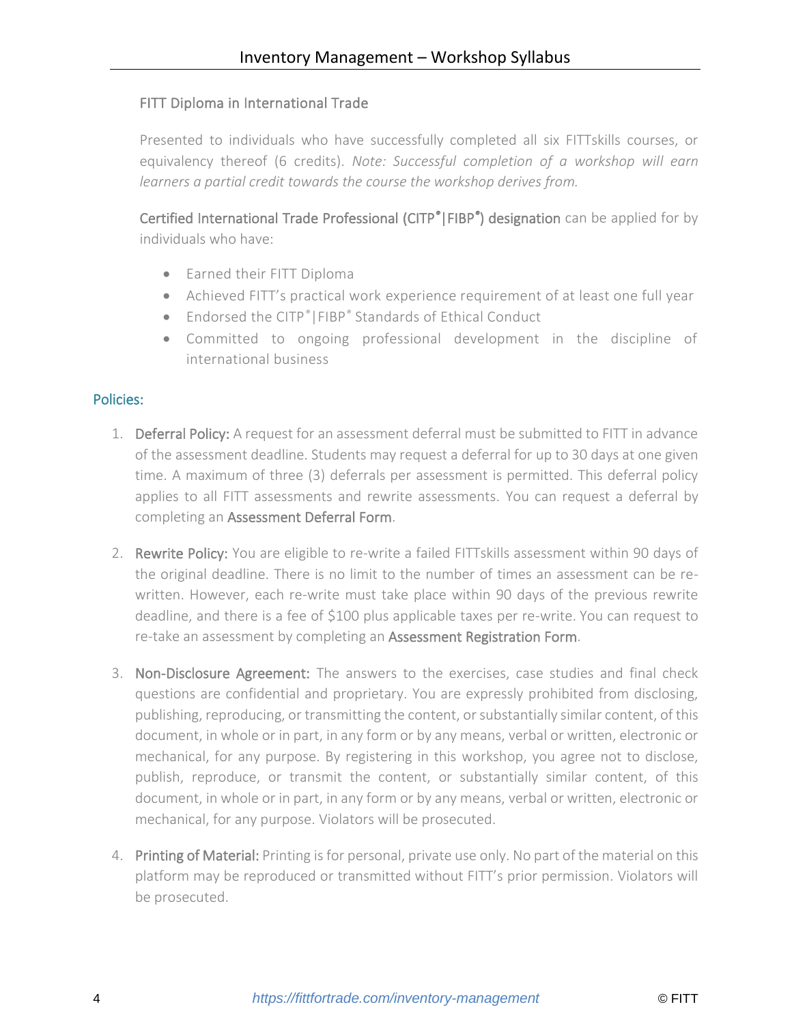## FITT Diploma in International Trade

Presented to individuals who have successfully completed all six FITTskills courses, or equivalency thereof (6 credits). *Note: Successful completion of a workshop will earn learners a partial credit towards the course the workshop derives from.*

Certified International Trade Professional (CITP*®*|FIBP*®* ) designation can be applied for by individuals who have:

- Earned their FITT Diploma
- Achieved FITT's practical work experience requirement of at least one full year
- Endorsed the CITP<sup>®</sup> | FIBP<sup>®</sup> Standards of Ethical Conduct
- Committed to ongoing professional development in the discipline of international business

#### Policies:

- 1. Deferral Policy: A request for an assessment deferral must be submitted to FITT in advance of the assessment deadline. Students may request a deferral for up to 30 days at one given time. A maximum of three (3) deferrals per assessment is permitted. This deferral policy applies to all FITT assessments and rewrite assessments. You can request a deferral by completing an [Assessment Deferral Form.](https://fittfortrade.com/assessment-deferral-request)
- 2. Rewrite Policy: You are eligible to re-write a failed FITTskills assessment within 90 days of the original deadline. There is no limit to the number of times an assessment can be rewritten. However, each re-write must take place within 90 days of the previous rewrite deadline, and there is a fee of \$100 plus applicable taxes per re-write. You can request to re-take an assessment by completing an [Assessment Registration Form.](http://fittfortrade.com/assessment-rewrite-registration)
- 3. Non-Disclosure Agreement: The answers to the exercises, case studies and final check questions are confidential and proprietary. You are expressly prohibited from disclosing, publishing, reproducing, or transmitting the content, or substantially similar content, of this document, in whole or in part, in any form or by any means, verbal or written, electronic or mechanical, for any purpose. By registering in this workshop, you agree not to disclose, publish, reproduce, or transmit the content, or substantially similar content, of this document, in whole or in part, in any form or by any means, verbal or written, electronic or mechanical, for any purpose. Violators will be prosecuted.
- 4. Printing of Material: Printing is for personal, private use only. No part of the material on this platform may be reproduced or transmitted without FITT's prior permission. Violators will be prosecuted.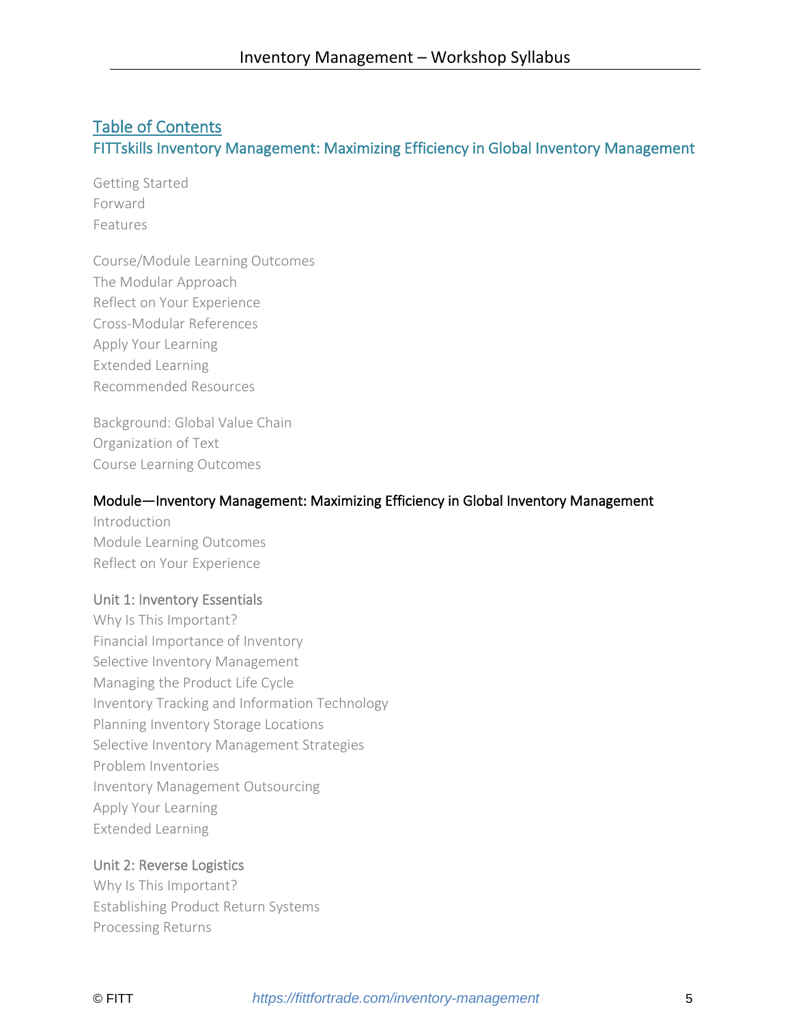# Table of Contents FITTskills Inventory Management: Maximizing Efficiency in Global Inventory Management

Getting Started Forward Features

Course/Module Learning Outcomes The Modular Approach Reflect on Your Experience Cross-Modular References Apply Your Learning Extended Learning Recommended Resources

Background: Global Value Chain Organization of Text Course Learning Outcomes

#### Module—Inventory Management: Maximizing Efficiency in Global Inventory Management

Introduction Module Learning Outcomes Reflect on Your Experience

#### Unit 1: Inventory Essentials

Why Is This Important? Financial Importance of Inventory Selective Inventory Management Managing the Product Life Cycle Inventory Tracking and Information Technology Planning Inventory Storage Locations Selective Inventory Management Strategies Problem Inventories Inventory Management Outsourcing Apply Your Learning Extended Learning

## Unit 2: Reverse Logistics

Why Is This Important? Establishing Product Return Systems Processing Returns